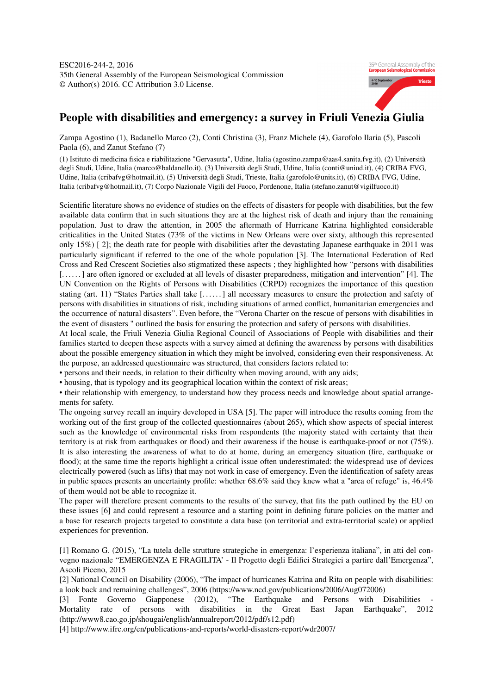

## People with disabilities and emergency: a survey in Friuli Venezia Giulia

Zampa Agostino (1), Badanello Marco (2), Conti Christina (3), Franz Michele (4), Garofolo Ilaria (5), Pascoli Paola (6), and Zanut Stefano (7)

(1) Istituto di medicina fisica e riabilitazione "Gervasutta", Udine, Italia (agostino.zampa@aas4.sanita.fvg.it), (2) Università degli Studi, Udine, Italia (marco@baldanello.it), (3) Università degli Studi, Udine, Italia (conti@uniud.it), (4) CRIBA FVG, Udine, Italia (cribafvg@hotmail.it), (5) Università degli Studi, Trieste, Italia (garofolo@units.it), (6) CRIBA FVG, Udine, Italia (cribafvg@hotmail.it), (7) Corpo Nazionale Vigili del Fuoco, Pordenone, Italia (stefano.zanut@vigilfuoco.it)

Scientific literature shows no evidence of studies on the effects of disasters for people with disabilities, but the few available data confirm that in such situations they are at the highest risk of death and injury than the remaining population. Just to draw the attention, in 2005 the aftermath of Hurricane Katrina highlighted considerable criticalities in the United States (73% of the victims in New Orleans were over sixty, although this represented only 15%) [ 2]; the death rate for people with disabilities after the devastating Japanese earthquake in 2011 was particularly significant if referred to the one of the whole population [3]. The International Federation of Red Cross and Red Crescent Societies also stigmatized these aspects ; they highlighted how "persons with disabilities [......] are often ignored or excluded at all levels of disaster preparedness, mitigation and intervention" [4]. The UN Convention on the Rights of Persons with Disabilities (CRPD) recognizes the importance of this question stating (art. 11) "States Parties shall take [. . . . . . ] all necessary measures to ensure the protection and safety of persons with disabilities in situations of risk, including situations of armed conflict, humanitarian emergencies and the occurrence of natural disasters". Even before, the "Verona Charter on the rescue of persons with disabilities in the event of disasters " outlined the basis for ensuring the protection and safety of persons with disabilities.

At local scale, the Friuli Venezia Giulia Regional Council of Associations of People with disabilities and their families started to deepen these aspects with a survey aimed at defining the awareness by persons with disabilities about the possible emergency situation in which they might be involved, considering even their responsiveness. At the purpose, an addressed questionnaire was structured, that considers factors related to:

• persons and their needs, in relation to their difficulty when moving around, with any aids;

• housing, that is typology and its geographical location within the context of risk areas;

• their relationship with emergency, to understand how they process needs and knowledge about spatial arrangements for safety.

The ongoing survey recall an inquiry developed in USA [5]. The paper will introduce the results coming from the working out of the first group of the collected questionnaires (about 265), which show aspects of special interest such as the knowledge of environmental risks from respondents (the majority stated with certainty that their territory is at risk from earthquakes or flood) and their awareness if the house is earthquake-proof or not (75%). It is also interesting the awareness of what to do at home, during an emergency situation (fire, earthquake or flood); at the same time the reports highlight a critical issue often underestimated: the widespread use of devices electrically powered (such as lifts) that may not work in case of emergency. Even the identification of safety areas in public spaces presents an uncertainty profile: whether 68.6% said they knew what a "area of refuge" is, 46.4% of them would not be able to recognize it.

The paper will therefore present comments to the results of the survey, that fits the path outlined by the EU on these issues [6] and could represent a resource and a starting point in defining future policies on the matter and a base for research projects targeted to constitute a data base (on territorial and extra-territorial scale) or applied experiences for prevention.

[1] Romano G. (2015), "La tutela delle strutture strategiche in emergenza: l'esperienza italiana", in atti del convegno nazionale "EMERGENZA E FRAGILITA' - Il Progetto degli Edifici Strategici a partire dall'Emergenza", Ascoli Piceno, 2015

[2] National Council on Disability (2006), "The impact of hurricanes Katrina and Rita on people with disabilities: a look back and remaining challenges", 2006 (https://www.ncd.gov/publications/2006/Aug072006)

[3] Fonte Governo Giapponese (2012), "The Earthquake and Persons with Disabilities Mortality rate of persons with disabilities in the Great East Japan Earthquake", 2012 (http://www8.cao.go.jp/shougai/english/annualreport/2012/pdf/s12.pdf)

[4] http://www.ifrc.org/en/publications-and-reports/world-disasters-report/wdr2007/